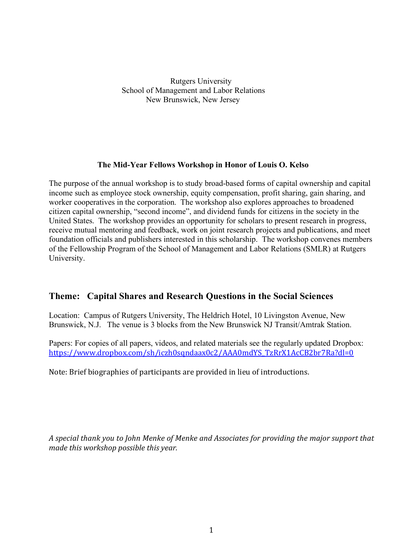Rutgers University School of Management and Labor Relations New Brunswick, New Jersey

### **The Mid-Year Fellows Workshop in Honor of Louis O. Kelso**

The purpose of the annual workshop is to study broad-based forms of capital ownership and capital income such as employee stock ownership, equity compensation, profit sharing, gain sharing, and worker cooperatives in the corporation. The workshop also explores approaches to broadened citizen capital ownership, "second income", and dividend funds for citizens in the society in the United States. The workshop provides an opportunity for scholars to present research in progress, receive mutual mentoring and feedback, work on joint research projects and publications, and meet foundation officials and publishers interested in this scholarship. The workshop convenes members of the Fellowship Program of the School of Management and Labor Relations (SMLR) at Rutgers University.

# **Theme: Capital Shares and Research Questions in the Social Sciences**

Location: Campus of Rutgers University, The Heldrich Hotel, 10 Livingston Avenue, New Brunswick, N.J. The venue is 3 blocks from the New Brunswick NJ Transit/Amtrak Station.

Papers: For copies of all papers, videos, and related materials see the regularly updated Dropbox: https://www.dropbox.com/sh/iczh0sqndaax0c2/AAA0mdYS\_TzRrX1AcCB2br7Ra?dl=0

Note: Brief biographies of participants are provided in lieu of introductions.

*A special thank you to John Menke of Menke and Associates for providing the major support that made this workshop possible this year.*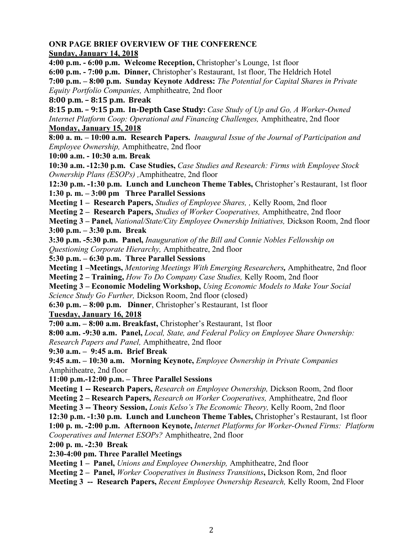# **ONR PAGE BRIEF OVERVIEW OF THE CONFERENCE**

### **Sunday, January 14, 2018**

**4:00 p.m. - 6:00 p.m. Welcome Reception,** Christopher's Lounge, 1st floor **6:00 p.m. - 7:00 p.m. Dinner,** Christopher's Restaurant, 1st floor, The Heldrich Hotel **7:00 p.m. – 8:00 p.m. Sunday Keynote Address:** *The Potential for Capital Shares in Private Equity Portfolio Companies,* Amphitheatre, 2nd floor

# **8:00 p.m. – 8:15 p.m. Break**

**8:15 p.m. - 9:15 p.m. In-Depth Case Study:** *Case Study of Up and Go, A Worker-Owned Internet Platform Coop: Operational and Financing Challenges,* Amphitheatre, 2nd floor

# **Monday, January 15, 2018**

**8:00 a. m. – 10:00 a.m. Research Papers.** *Inaugural Issue of the Journal of Participation and Employee Ownership,* Amphitheatre, 2nd floor

**10:00 a.m. - 10:30 a.m. Break**

**10:30 a.m. -12:30 p.m. Case Studies,** *Case Studies and Research: Firms with Employee Stock Ownership Plans (ESOPs) ,*Amphitheatre, 2nd floor

**12:30 p.m. -1:30 p.m. Lunch and Luncheon Theme Tables,** Christopher's Restaurant, 1st floor **1:30 p. m. – 3:00 pm Three Parallel Sessions**

**Meeting 1 – Research Papers,** *Studies of Employee Shares, ,* Kelly Room, 2nd floor

**Meeting 2 – Research Papers,** *Studies of Worker Cooperatives,* Amphitheatre, 2nd floor

**Meeting 3 – Panel,** *National/State/City Employee Ownership Initiatives,* Dickson Room, 2nd floor

**3:00 p.m. – 3:30 p.m. Break**

**3:30 p.m. -5:30 p.m. Panel,** *Inauguration of the Bill and Connie Nobles Fellowship on Questioning Corporate Hierarchy,* Amphitheatre, 2nd floor

**5:30 p.m. – 6:30 p.m. Three Parallel Sessions**

**Meeting 1 –Meetings,** *Mentoring Meetings With Emerging Researchers,* Amphitheatre, 2nd floor **Meeting 2 – Training,** *How To Do Company Case Studies,* Kelly Room, 2nd floor

**Meeting 3 – Economic Modeling Workshop,** *Using Economic Models to Make Your Social Science Study Go Further,* Dickson Room, 2nd floor (closed)

**6:30 p.m. – 8:00 p.m. Dinner**, Christopher's Restaurant, 1st floor

**Tuesday, January 16, 2018**

**7:00 a.m. – 8:00 a.m. Breakfast,** Christopher's Restaurant, 1st floor

**8:00 a.m. -9:30 a.m. Panel,** *Local, State, and Federal Policy on Employee Share Ownership: Research Papers and Panel,* Amphitheatre, 2nd floor

**9:30 a.m. – 9:45 a.m. Brief Break**

**9:45 a.m. – 10:30 a.m. Morning Keynote,** *Employee Ownership in Private Companies* Amphitheatre, 2nd floor

**11:00 p.m.-12:00 p.m. – Three Parallel Sessions**

**Meeting 1 -- Research Papers,** *Research on Employee Ownership,* Dickson Room, 2nd floor

**Meeting 2 – Research Papers,** *Research on Worker Cooperatives,* Amphitheatre, 2nd floor

**Meeting 3 -- Theory Session,** *Louis Kelso's The Economic Theory,* Kelly Room, 2nd floor

**12:30 p.m. -1:30 p.m. Lunch and Luncheon Theme Tables,** Christopher's Restaurant, 1st floor

**1:00 p. m. -2:00 p.m. Afternoon Keynote,** *Internet Platforms for Worker-Owned Firms: Platform Cooperatives and Internet ESOPs?* Amphitheatre, 2nd floor

**2:00 p. m. -2:30 Break**

**2:30-4:00 pm. Three Parallel Meetings**

**Meeting 1 – Panel,** *Unions and Employee Ownership,* Amphitheatre, 2nd floor

**Meeting 2 – Panel,** *Worker Cooperatives in Business Transitions***,** Dickson Rom, 2nd floor

**Meeting 3 -- Research Papers,** *Recent Employee Ownership Research,* Kelly Room, 2nd Floor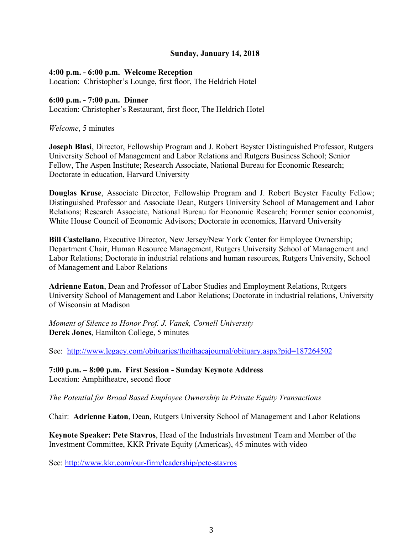### **Sunday, January 14, 2018**

#### **4:00 p.m. - 6:00 p.m. Welcome Reception**

Location: Christopher's Lounge, first floor, The Heldrich Hotel

#### **6:00 p.m. - 7:00 p.m. Dinner**

Location: Christopher's Restaurant, first floor, The Heldrich Hotel

*Welcome*, 5 minutes

**Joseph Blasi**, Director, Fellowship Program and J. Robert Beyster Distinguished Professor, Rutgers University School of Management and Labor Relations and Rutgers Business School; Senior Fellow, The Aspen Institute; Research Associate, National Bureau for Economic Research; Doctorate in education, Harvard University

**Douglas Kruse**, Associate Director, Fellowship Program and J. Robert Beyster Faculty Fellow; Distinguished Professor and Associate Dean, Rutgers University School of Management and Labor Relations; Research Associate, National Bureau for Economic Research; Former senior economist, White House Council of Economic Advisors; Doctorate in economics, Harvard University

**Bill Castellano**, Executive Director, New Jersey/New York Center for Employee Ownership; Department Chair, Human Resource Management, Rutgers University School of Management and Labor Relations; Doctorate in industrial relations and human resources, Rutgers University, School of Management and Labor Relations

**Adrienne Eaton**, Dean and Professor of Labor Studies and Employment Relations, Rutgers University School of Management and Labor Relations; Doctorate in industrial relations, University of Wisconsin at Madison

*Moment of Silence to Honor Prof. J. Vanek, Cornell University* **Derek Jones**, Hamilton College, 5 minutes

See: http://www.legacy.com/obituaries/theithacajournal/obituary.aspx?pid=187264502

**7:00 p.m. – 8:00 p.m. First Session - Sunday Keynote Address**  Location: Amphitheatre, second floor

*The Potential for Broad Based Employee Ownership in Private Equity Transactions*

Chair: **Adrienne Eaton**, Dean, Rutgers University School of Management and Labor Relations

**Keynote Speaker: Pete Stavros**, Head of the Industrials Investment Team and Member of the Investment Committee, KKR Private Equity (Americas), 45 minutes with video

See: http://www.kkr.com/our-firm/leadership/pete-stavros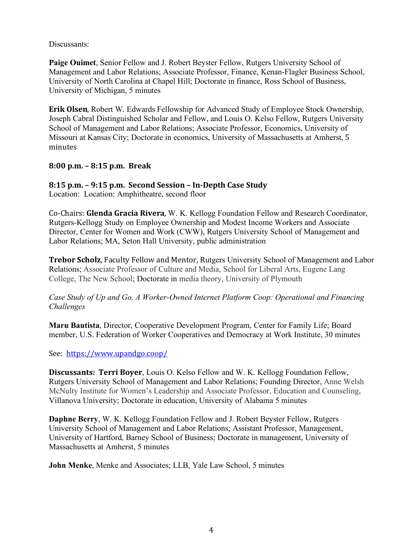Discussants:

**Paige Ouimet**, Senior Fellow and J. Robert Beyster Fellow, Rutgers University School of Management and Labor Relations; Associate Professor, Finance, Kenan-Flagler Business School, University of North Carolina at Chapel Hill; Doctorate in finance, Ross School of Business, University of Michigan, 5 minutes

**Erik Olsen**, Robert W. Edwards Fellowship for Advanced Study of Employee Stock Ownership, Joseph Cabral Distinguished Scholar and Fellow, and Louis O. Kelso Fellow, Rutgers University School of Management and Labor Relations; Associate Professor, Economics, University of Missouri at Kansas City; Doctorate in economics, University of Massachusetts at Amherst, 5 minutes

**8:00 p.m. – 8:15 p.m. Break**

# **8:15 p.m. – 9:15 p.m. Second Session – In-Depth Case Study**

Location: Location: Amphitheatre, second floor

Co-Chairs: **Glenda Gracia Rivera**, W. K. Kellogg Foundation Fellow and Research Coordinator, Rutgers-Kellogg Study on Employee Ownership and Modest Income Workers and Associate Director, Center for Women and Work (CWW), Rutgers University School of Management and Labor Relations; MA, Seton Hall University, public administration

**Trebor Scholz**, Faculty Fellow and Mentor, Rutgers University School of Management and Labor Relations; Associate Professor of Culture and Media, School for Liberal Arts, Eugene Lang College, The New School; Doctorate in media theory, University of Plymouth

# *Case Study of Up and Go, A Worker-Owned Internet Platform Coop: Operational and Financing Challenges*

**Maru Bautista**, Director, Cooperative Development Program, Center for Family Life; Board member, U.S. Federation of Worker Cooperatives and Democracy at Work Institute, 30 minutes

See: https://www.upandgo.coop/

**Discussants: Terri Boyer, Louis O. Kelso Fellow and W. K. Kellogg Foundation Fellow,** Rutgers University School of Management and Labor Relations; Founding Director, Anne Welsh McNulty Institute for Women's Leadership and Associate Professor, Education and Counseling, Villanova University; Doctorate in education, University of Alabama 5 minutes

**Daphne Berry**, W. K. Kellogg Foundation Fellow and J. Robert Beyster Fellow, Rutgers University School of Management and Labor Relations; Assistant Professor, Management, University of Hartford, Barney School of Business; Doctorate in management, University of Massachusetts at Amherst, 5 minutes

**John Menke**, Menke and Associates; LLB, Yale Law School, 5 minutes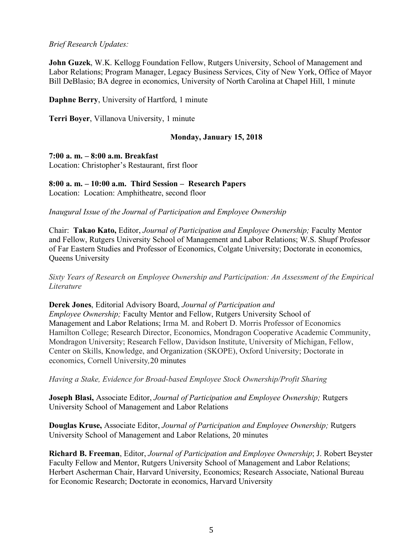### *Brief Research Updates:*

**John Guzek**, W.K. Kellogg Foundation Fellow, Rutgers University, School of Management and Labor Relations; Program Manager, Legacy Business Services, City of New York, Office of Mayor Bill DeBlasio; BA degree in economics, University of North Carolina at Chapel Hill, 1 minute

**Daphne Berry**, University of Hartford, 1 minute

**Terri Boyer**, Villanova University, 1 minute

# **Monday, January 15, 2018**

### **7:00 a. m. – 8:00 a.m. Breakfast**

Location: Christopher's Restaurant, first floor

# **8:00 a. m. – 10:00 a.m. Third Session – Research Papers**

Location: Location: Amphitheatre, second floor

*Inaugural Issue of the Journal of Participation and Employee Ownership*

Chair: **Takao Kato,** Editor, *Journal of Participation and Employee Ownership;* Faculty Mentor and Fellow, Rutgers University School of Management and Labor Relations; W.S. Shupf Professor of Far Eastern Studies and Professor of Economics, Colgate University; Doctorate in economics, Queens University

*Sixty Years of Research on Employee Ownership and Participation: An Assessment of the Empirical Literature*

**Derek Jones**, Editorial Advisory Board, *Journal of Participation and Employee Ownership;* Faculty Mentor and Fellow, Rutgers University School of Management and Labor Relations; Irma M. and Robert D. Morris Professor of Economics Hamilton College; Research Director, Economics, Mondragon Cooperative Academic Community, Mondragon University; Research Fellow, Davidson Institute, University of Michigan, Fellow, Center on Skills, Knowledge, and Organization (SKOPE), Oxford University; Doctorate in economics, Cornell University*,*20 minutes

#### *Having a Stake, Evidence for Broad-based Employee Stock Ownership/Profit Sharing*

**Joseph Blasi,** Associate Editor, *Journal of Participation and Employee Ownership;* Rutgers University School of Management and Labor Relations

**Douglas Kruse,** Associate Editor, *Journal of Participation and Employee Ownership;* Rutgers University School of Management and Labor Relations, 20 minutes

**Richard B. Freeman**, Editor, *Journal of Participation and Employee Ownership*; J. Robert Beyster Faculty Fellow and Mentor, Rutgers University School of Management and Labor Relations; Herbert Ascherman Chair, Harvard University, Economics; Research Associate, National Bureau for Economic Research; Doctorate in economics, Harvard University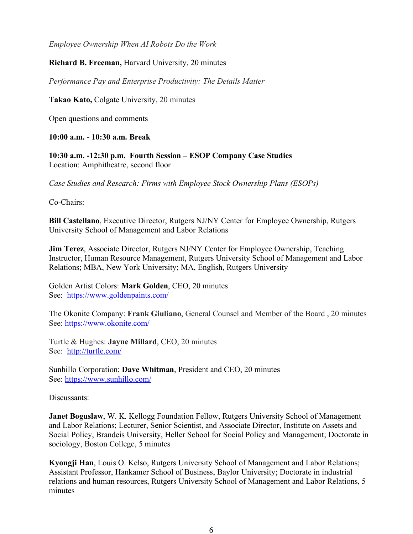*Employee Ownership When AI Robots Do the Work*

### **Richard B. Freeman,** Harvard University, 20 minutes

*Performance Pay and Enterprise Productivity: The Details Matter* 

**Takao Kato,** Colgate University, 20 minutes

Open questions and comments

**10:00 a.m. - 10:30 a.m. Break**

**10:30 a.m. -12:30 p.m. Fourth Session – ESOP Company Case Studies** Location: Amphitheatre, second floor

*Case Studies and Research: Firms with Employee Stock Ownership Plans (ESOPs)*

Co-Chairs:

**Bill Castellano**, Executive Director, Rutgers NJ/NY Center for Employee Ownership, Rutgers University School of Management and Labor Relations

**Jim Terez**, Associate Director, Rutgers NJ/NY Center for Employee Ownership, Teaching Instructor, Human Resource Management, Rutgers University School of Management and Labor Relations; MBA, New York University; MA, English, Rutgers University

Golden Artist Colors: **Mark Golden**, CEO, 20 minutes See: https://www.goldenpaints.com/

The Okonite Company: **Frank Giuliano**, General Counsel and Member of the Board , 20 minutes See: https://www.okonite.com/

Turtle & Hughes: **Jayne Millard**, CEO, 20 minutes See: http://turtle.com/

Sunhillo Corporation: **Dave Whitman**, President and CEO, 20 minutes See: https://www.sunhillo.com/

Discussants:

**Janet Boguslaw, W. K. Kellogg Foundation Fellow, Rutgers University School of Management** and Labor Relations; Lecturer, Senior Scientist, and Associate Director, Institute on Assets and Social Policy, Brandeis University, Heller School for Social Policy and Management; Doctorate in sociology, Boston College, 5 minutes

**Kyongji Han**, Louis O. Kelso, Rutgers University School of Management and Labor Relations; Assistant Professor, Hankamer School of Business, Baylor University; Doctorate in industrial relations and human resources, Rutgers University School of Management and Labor Relations, 5 minutes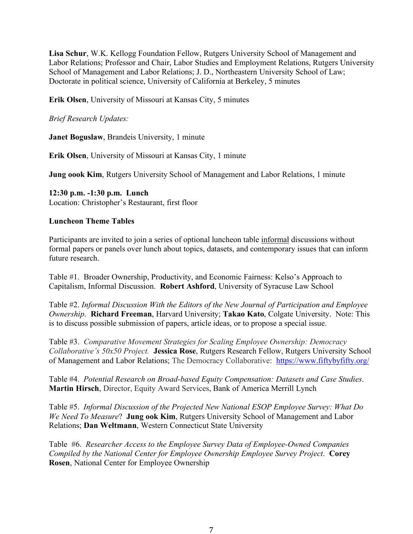**Lisa Schur**, W.K. Kellogg Foundation Fellow, Rutgers University School of Management and Labor Relations; Professor and Chair, Labor Studies and Employment Relations, Rutgers University School of Management and Labor Relations; J. D., Northeastern University School of Law; Doctorate in political science, University of California at Berkeley, 5 minutes

**Erik Olsen**, University of Missouri at Kansas City, 5 minutes

*Brief Research Updates:*

**Janet Boguslaw**, Brandeis University, 1 minute

**Erik Olsen**, University of Missouri at Kansas City, 1 minute

**Jung oook Kim**, Rutgers University School of Management and Labor Relations, 1 minute

**12:30 p.m. -1:30 p.m. Lunch**  Location: Christopher's Restaurant, first floor

#### **Luncheon Theme Tables**

Participants are invited to join a series of optional luncheon table informal discussions without formal papers or panels over lunch about topics, datasets, and contemporary issues that can inform future research.

Table #1. Broader Ownership, Productivity, and Economic Fairness: Kelso's Approach to Capitalism, Informal Discussion. **Robert Ashford**, University of Syracuse Law School

Table #2. *Informal Discussion With the Editors of the New Journal of Participation and Employee Ownership*. **Richard Freeman**, Harvard University; **Takao Kato**, Colgate University. Note: This is to discuss possible submission of papers, article ideas, or to propose a special issue.

Table #3. *Comparative Movement Strategies for Scaling Employee Ownership: Democracy Collaborative's 50x50 Project.* **Jessica Rose**, Rutgers Research Fellow, Rutgers University School of Management and Labor Relations; The Democracy Collaborative: https://www.fiftybyfifty.org/

Table #4. *Potential Research on Broad-based Equity Compensation: Datasets and Case Studies*. **Martin Hirsch**, Director, Equity Award Services, Bank of America Merrill Lynch

Table #5. *Informal Discussion of the Projected New National ESOP Employee Survey: What Do We Need To Measure*? **Jung ook Kim**, Rutgers University School of Management and Labor Relations; **Dan Weltmann**, Western Connecticut State University

Table #6. *Researcher Access to the Employee Survey Data of Employee-Owned Companies Compiled by the National Center for Employee Ownership Employee Survey Project*. **Corey Rosen**, National Center for Employee Ownership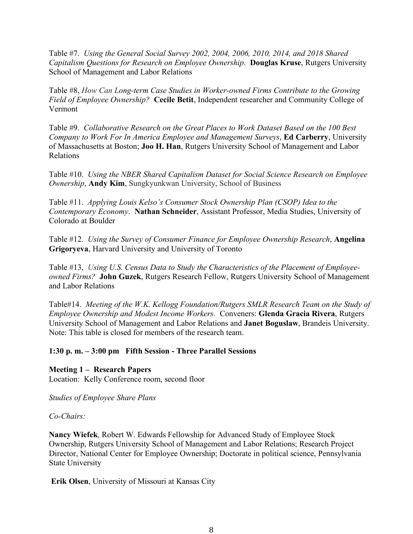Table #7. *Using the General Social Survey 2002, 2004, 2006, 2010, 2014, and 2018 Shared Capitalism Questions for Research on Employee Ownership*. **Douglas Kruse**, Rutgers University School of Management and Labor Relations

Table #8, *How Can Long-term Case Studies in Worker-owned Firms Contribute to the Growing Field of Employee Ownership?* **Cecile Betit**, Independent researcher and Community College of Vermont

Table #9. *Collaborative Research on the Great Places to Work Dataset Based on the 100 Best Company to Work For In America Employee and Management Surveys*, **Ed Carberry**, University of Massachusetts at Boston; **Joo H. Han**, Rutgers University School of Management and Labor Relations

Table #10. *Using the NBER Shared Capitalism Dataset for Social Science Research on Employee Ownership*, **Andy Kim**, Sungkyunkwan University, School of Business

Table #11. *Applying Louis Kelso's Consumer Stock Ownership Plan (CSOP) Idea to the Contemporary Economy*. **Nathan Schneider**, Assistant Professor, Media Studies, University of Colorado at Boulder

Table #12. *Using the Survey of Consumer Finance for Employee Ownership Research*, **Angelina Grigoryeva**, Harvard University and University of Toronto

Table #13, *Using U.S. Census Data to Study the Characteristics of the Placement of Employeeowned Firms?* **John Guzek**, Rutgers Research Fellow, Rutgers University School of Management and Labor Relations

Table#14. *Meeting of the W.K. Kellogg Foundation/Rutgers SMLR Research Team on the Study of Employee Ownership and Modest Income Workers.* Conveners: **Glenda Gracia Rivera**, Rutgers University School of Management and Labor Relations and **Janet Boguslaw**, Brandeis University. Note: This table is closed for members of the research team.

# **1:30 p. m. – 3:00 pm Fifth Session - Three Parallel Sessions**

**Meeting 1 – Research Papers** Location: Kelly Conference room, second floor

*Studies of Employee Share Plans*

# *Co-Chairs:*

**Nancy Wiefek***,* Robert W. Edwards Fellowship for Advanced Study of Employee Stock Ownership, Rutgers University School of Management and Labor Relations; Research Project Director, National Center for Employee Ownership; Doctorate in political science, Pennsylvania State University

**Erik Olsen**, University of Missouri at Kansas City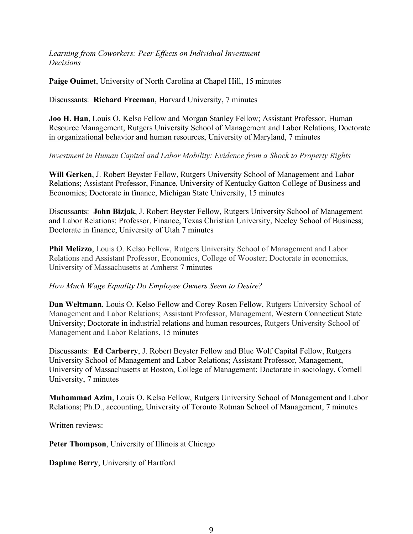*Learning from Coworkers: Peer Effects on Individual Investment Decisions*

**Paige Ouimet**, University of North Carolina at Chapel Hill, 15 minutes

Discussants: **Richard Freeman**, Harvard University, 7 minutes

**Joo H. Han**, Louis O. Kelso Fellow and Morgan Stanley Fellow; Assistant Professor, Human Resource Management, Rutgers University School of Management and Labor Relations; Doctorate in organizational behavior and human resources, University of Maryland, 7 minutes

### *Investment in Human Capital and Labor Mobility: Evidence from a Shock to Property Rights*

**Will Gerken**, J. Robert Beyster Fellow, Rutgers University School of Management and Labor Relations; Assistant Professor, Finance, University of Kentucky Gatton College of Business and Economics; Doctorate in finance, Michigan State University, 15 minutes

Discussants: **John Bizjak**, J. Robert Beyster Fellow, Rutgers University School of Management and Labor Relations; Professor, Finance, Texas Christian University, Neeley School of Business; Doctorate in finance, University of Utah 7 minutes

**Phil Melizzo**, Louis O. Kelso Fellow, Rutgers University School of Management and Labor Relations and Assistant Professor, Economics, College of Wooster; Doctorate in economics, University of Massachusetts at Amherst 7 minutes

# *How Much Wage Equality Do Employee Owners Seem to Desire?*

**Dan Weltmann**, Louis O. Kelso Fellow and Corey Rosen Fellow, Rutgers University School of Management and Labor Relations; Assistant Professor, Management, Western Connecticut State University; Doctorate in industrial relations and human resources, Rutgers University School of Management and Labor Relations, 15 minutes

Discussants: **Ed Carberry**, J. Robert Beyster Fellow and Blue Wolf Capital Fellow, Rutgers University School of Management and Labor Relations; Assistant Professor, Management, University of Massachusetts at Boston, College of Management; Doctorate in sociology, Cornell University, 7 minutes

**Muhammad Azim**, Louis O. Kelso Fellow, Rutgers University School of Management and Labor Relations; Ph.D., accounting, University of Toronto Rotman School of Management, 7 minutes

Written reviews:

**Peter Thompson**, University of Illinois at Chicago

**Daphne Berry**, University of Hartford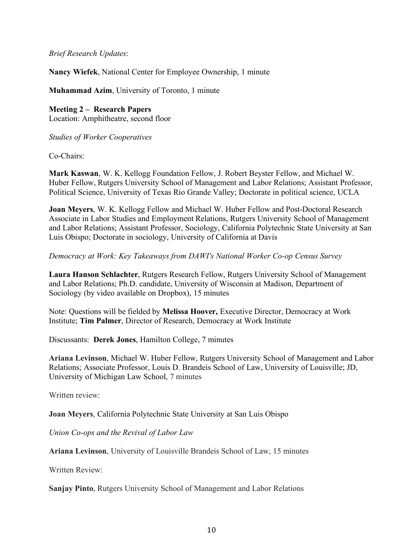### *Brief Research Updates*:

**Nancy Wiefek**, National Center for Employee Ownership, 1 minute

**Muhammad Azim**, University of Toronto, 1 minute

**Meeting 2 – Research Papers** Location: Amphitheatre, second floor

*Studies of Worker Cooperatives*

Co-Chairs:

**Mark Kaswan**, W. K. Kellogg Foundation Fellow, J. Robert Beyster Fellow, and Michael W. Huber Fellow, Rutgers University School of Management and Labor Relations; Assistant Professor, Political Science, University of Texas Rio Grande Valley; Doctorate in political science, UCLA

**Joan Meyers**, W. K. Kellogg Fellow and Michael W. Huber Fellow and Post-Doctoral Research Associate in Labor Studies and Employment Relations, Rutgers University School of Management and Labor Relations; Assistant Professor, Sociology, California Polytechnic State University at San Luis Obispo; Doctorate in sociology, University of California at Davis

*Democracy at Work: Key Takeaways from DAWI's National Worker Co-op Census Survey*

**Laura Hanson Schlachter**, Rutgers Research Fellow, Rutgers University School of Management and Labor Relations; Ph.D. candidate, University of Wisconsin at Madison, Department of Sociology (by video available on Dropbox), 15 minutes

Note: Questions will be fielded by **Melissa Hoover,** Executive Director, Democracy at Work Institute; **Tim Palmer**, Director of Research, Democracy at Work Institute

Discussants: **Derek Jones**, Hamilton College, 7 minutes

**Ariana Levinson**, Michael W. Huber Fellow, Rutgers University School of Management and Labor Relations; Associate Professor, Louis D. Brandeis School of Law, University of Louisville; JD, University of Michigan Law School, 7 minutes

Written review<sup>.</sup>

**Joan Meyers**, California Polytechnic State University at San Luis Obispo

*Union Co-ops and the Revival of Labor Law*

**Ariana Levinson**, University of Louisville Brandeis School of Law, 15 minutes

Written Review:

**Sanjay Pinto**, Rutgers University School of Management and Labor Relations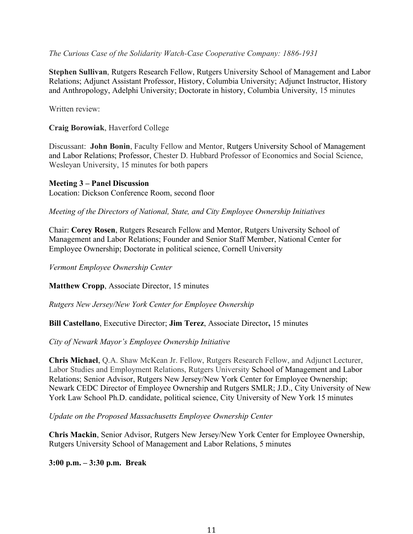*The Curious Case of the Solidarity Watch-Case Cooperative Company: 1886-1931*

**Stephen Sullivan**, Rutgers Research Fellow, Rutgers University School of Management and Labor Relations; Adjunct Assistant Professor, History, Columbia University; Adjunct Instructor, History and Anthropology, Adelphi University; Doctorate in history, Columbia University, 15 minutes

Written review<sup>.</sup>

**Craig Borowiak**, Haverford College

Discussant: **John Bonin**, Faculty Fellow and Mentor, Rutgers University School of Management and Labor Relations; Professor, Chester D. Hubbard Professor of Economics and Social Science, Wesleyan University, 15 minutes for both papers

#### **Meeting 3 – Panel Discussion**

Location: Dickson Conference Room, second floor

*Meeting of the Directors of National, State, and City Employee Ownership Initiatives*

Chair: **Corey Rosen**, Rutgers Research Fellow and Mentor, Rutgers University School of Management and Labor Relations; Founder and Senior Staff Member, National Center for Employee Ownership; Doctorate in political science, Cornell University

*Vermont Employee Ownership Center*

**Matthew Cropp**, Associate Director, 15 minutes

*Rutgers New Jersey/New York Center for Employee Ownership*

**Bill Castellano**, Executive Director; **Jim Terez**, Associate Director**,** 15 minutes

*City of Newark Mayor's Employee Ownership Initiative*

**Chris Michael**, Q.A. Shaw McKean Jr. Fellow, Rutgers Research Fellow, and Adjunct Lecturer, Labor Studies and Employment Relations, Rutgers University School of Management and Labor Relations; Senior Advisor, Rutgers New Jersey/New York Center for Employee Ownership; Newark CEDC Director of Employee Ownership and Rutgers SMLR; J.D., City University of New York Law School Ph.D. candidate, political science, City University of New York 15 minutes

*Update on the Proposed Massachusetts Employee Ownership Center*

**Chris Mackin**, Senior Advisor, Rutgers New Jersey/New York Center for Employee Ownership, Rutgers University School of Management and Labor Relations, 5 minutes

**3:00 p.m. – 3:30 p.m. Break**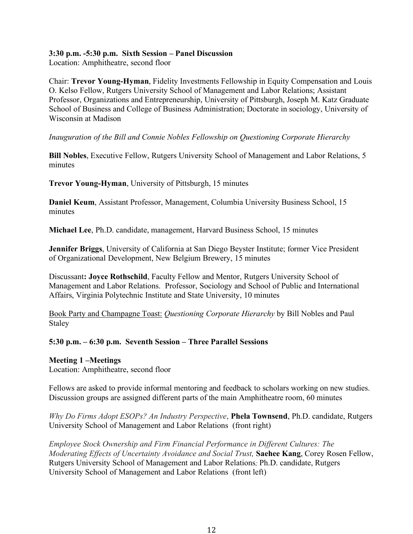### **3:30 p.m. -5:30 p.m. Sixth Session – Panel Discussion**

Location: Amphitheatre, second floor

Chair: **Trevor Young-Hyman**, Fidelity Investments Fellowship in Equity Compensation and Louis O. Kelso Fellow, Rutgers University School of Management and Labor Relations; Assistant Professor, Organizations and Entrepreneurship, University of Pittsburgh, Joseph M. Katz Graduate School of Business and College of Business Administration; Doctorate in sociology, University of Wisconsin at Madison

### *Inauguration of the Bill and Connie Nobles Fellowship on Questioning Corporate Hierarchy*

**Bill Nobles**, Executive Fellow, Rutgers University School of Management and Labor Relations, 5 minutes

**Trevor Young-Hyman**, University of Pittsburgh, 15 minutes

**Daniel Keum**, Assistant Professor, Management, Columbia University Business School, 15 minutes

**Michael Lee**, Ph.D. candidate, management, Harvard Business School, 15 minutes

**Jennifer Briggs**, University of California at San Diego Beyster Institute; former Vice President of Organizational Development, New Belgium Brewery, 15 minutes

Discussant**: Joyce Rothschild**, Faculty Fellow and Mentor, Rutgers University School of Management and Labor Relations. Professor, Sociology and School of Public and International Affairs, Virginia Polytechnic Institute and State University, 10 minutes

Book Party and Champagne Toast: *Questioning Corporate Hierarchy* by Bill Nobles and Paul Staley

# **5:30 p.m. – 6:30 p.m. Seventh Session – Three Parallel Sessions**

#### **Meeting 1 –Meetings**

Location: Amphitheatre, second floor

Fellows are asked to provide informal mentoring and feedback to scholars working on new studies. Discussion groups are assigned different parts of the main Amphitheatre room, 60 minutes

*Why Do Firms Adopt ESOPs? An Industry Perspective*, **Phela Townsend**, Ph.D. candidate, Rutgers University School of Management and Labor Relations (front right)

*Employee Stock Ownership and Firm Financial Performance in Different Cultures: The Moderating Effects of Uncertainty Avoidance and Social Trust,* **Saehee Kang**, Corey Rosen Fellow, Rutgers University School of Management and Labor Relations*;* Ph.D. candidate, Rutgers University School of Management and Labor Relations (front left)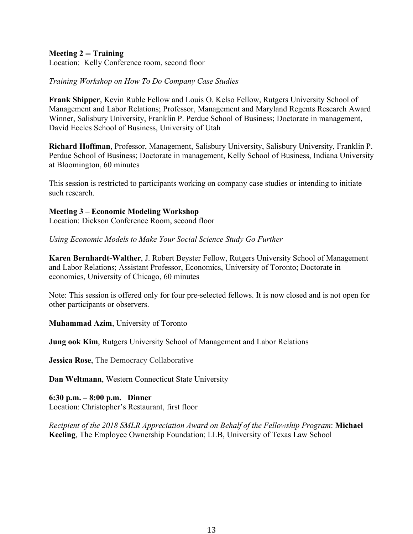### **Meeting 2 -- Training**

Location: Kelly Conference room, second floor

#### *Training Workshop on How To Do Company Case Studies*

**Frank Shipper**, Kevin Ruble Fellow and Louis O. Kelso Fellow, Rutgers University School of Management and Labor Relations; Professor, Management and Maryland Regents Research Award Winner, Salisbury University, Franklin P. Perdue School of Business; Doctorate in management, David Eccles School of Business, University of Utah

**Richard Hoffman**, Professor, Management, Salisbury University, Salisbury University, Franklin P. Perdue School of Business; Doctorate in management, Kelly School of Business, Indiana University at Bloomington, 60 minutes

This session is restricted to participants working on company case studies or intending to initiate such research.

**Meeting 3 – Economic Modeling Workshop** Location: Dickson Conference Room, second floor

*Using Economic Models to Make Your Social Science Study Go Further*

**Karen Bernhardt-Walther**, J. Robert Beyster Fellow, Rutgers University School of Management and Labor Relations; Assistant Professor, Economics, University of Toronto; Doctorate in economics, University of Chicago, 60 minutes

Note: This session is offered only for four pre-selected fellows. It is now closed and is not open for other participants or observers.

**Muhammad Azim**, University of Toronto

**Jung ook Kim**, Rutgers University School of Management and Labor Relations

**Jessica Rose**, The Democracy Collaborative

**Dan Weltmann**, Western Connecticut State University

**6:30 p.m. – 8:00 p.m. Dinner** Location: Christopher's Restaurant, first floor

*Recipient of the 2018 SMLR Appreciation Award on Behalf of the Fellowship Program*: **Michael Keeling**, The Employee Ownership Foundation; LLB, University of Texas Law School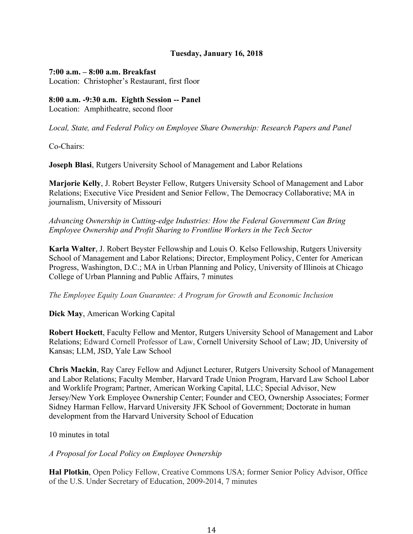### **Tuesday, January 16, 2018**

#### **7:00 a.m. – 8:00 a.m. Breakfast**

Location: Christopher's Restaurant, first floor

### **8:00 a.m. -9:30 a.m. Eighth Session -- Panel**

Location: Amphitheatre, second floor

*Local, State, and Federal Policy on Employee Share Ownership: Research Papers and Panel*

Co-Chairs:

**Joseph Blasi**, Rutgers University School of Management and Labor Relations

**Marjorie Kelly**, J. Robert Beyster Fellow, Rutgers University School of Management and Labor Relations; Executive Vice President and Senior Fellow, The Democracy Collaborative; MA in journalism, University of Missouri

*Advancing Ownership in Cutting-edge Industries: How the Federal Government Can Bring Employee Ownership and Profit Sharing to Frontline Workers in the Tech Sector*

**Karla Walter**, J. Robert Beyster Fellowship and Louis O. Kelso Fellowship, Rutgers University School of Management and Labor Relations; Director, Employment Policy, Center for American Progress, Washington, D.C.; MA in Urban Planning and Policy, University of Illinois at Chicago College of Urban Planning and Public Affairs, 7 minutes

*The Employee Equity Loan Guarantee: A Program for Growth and Economic Inclusion*

**Dick May**, American Working Capital

**Robert Hockett**, Faculty Fellow and Mentor, Rutgers University School of Management and Labor Relations; Edward Cornell Professor of Law, Cornell University School of Law; JD, University of Kansas; LLM, JSD, Yale Law School

**Chris Mackin**, Ray Carey Fellow and Adjunct Lecturer, Rutgers University School of Management and Labor Relations; Faculty Member, Harvard Trade Union Program, Harvard Law School Labor and Worklife Program; Partner, American Working Capital, LLC; Special Advisor, New Jersey/New York Employee Ownership Center; Founder and CEO, Ownership Associates; Former Sidney Harman Fellow, Harvard University JFK School of Government; Doctorate in human development from the Harvard University School of Education

10 minutes in total

*A Proposal for Local Policy on Employee Ownership*

**Hal Plotkin**, Open Policy Fellow, Creative Commons USA; former Senior Policy Advisor, Office of the U.S. Under Secretary of Education, 2009-2014, 7 minutes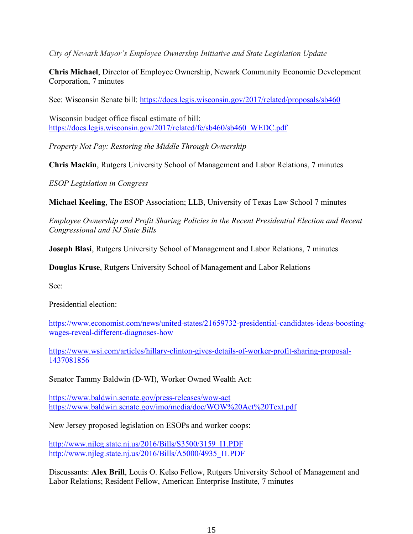*City of Newark Mayor's Employee Ownership Initiative and State Legislation Update*

**Chris Michael**, Director of Employee Ownership, Newark Community Economic Development Corporation, 7 minutes

See: Wisconsin Senate bill: https://docs.legis.wisconsin.gov/2017/related/proposals/sb460

Wisconsin budget office fiscal estimate of bill: https://docs.legis.wisconsin.gov/2017/related/fe/sb460/sb460\_WEDC.pdf

*Property Not Pay: Restoring the Middle Through Ownership*

**Chris Mackin**, Rutgers University School of Management and Labor Relations, 7 minutes

*ESOP Legislation in Congress*

**Michael Keeling**, The ESOP Association; LLB, University of Texas Law School 7 minutes

*Employee Ownership and Profit Sharing Policies in the Recent Presidential Election and Recent Congressional and NJ State Bills*

**Joseph Blasi**, Rutgers University School of Management and Labor Relations, 7 minutes

**Douglas Kruse**, Rutgers University School of Management and Labor Relations

See:

Presidential election:

https://www.economist.com/news/united-states/21659732-presidential-candidates-ideas-boostingwages-reveal-different-diagnoses-how

https://www.wsj.com/articles/hillary-clinton-gives-details-of-worker-profit-sharing-proposal-1437081856

Senator Tammy Baldwin (D-WI), Worker Owned Wealth Act:

https://www.baldwin.senate.gov/press-releases/wow-act https://www.baldwin.senate.gov/imo/media/doc/WOW%20Act%20Text.pdf

New Jersey proposed legislation on ESOPs and worker coops:

http://www.njleg.state.nj.us/2016/Bills/S3500/3159\_I1.PDF http://www.njleg.state.nj.us/2016/Bills/A5000/4935\_I1.PDF

Discussants: **Alex Brill**, Louis O. Kelso Fellow, Rutgers University School of Management and Labor Relations; Resident Fellow, American Enterprise Institute, 7 minutes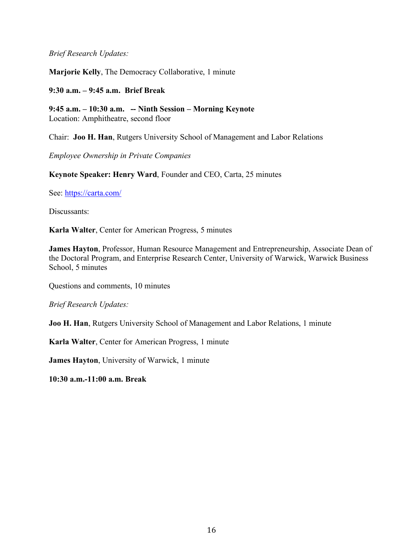### *Brief Research Updates:*

**Marjorie Kelly**, The Democracy Collaborative, 1 minute

### **9:30 a.m. – 9:45 a.m. Brief Break**

**9:45 a.m. – 10:30 a.m. -- Ninth Session – Morning Keynote** Location: Amphitheatre, second floor

Chair: **Joo H. Han**, Rutgers University School of Management and Labor Relations

*Employee Ownership in Private Companies*

**Keynote Speaker: Henry Ward**, Founder and CEO, Carta, 25 minutes

See: https://carta.com/

Discussants:

**Karla Walter**, Center for American Progress, 5 minutes

**James Hayton**, Professor, Human Resource Management and Entrepreneurship, Associate Dean of the Doctoral Program, and Enterprise Research Center, University of Warwick, Warwick Business School, 5 minutes

Questions and comments, 10 minutes

*Brief Research Updates:*

**Joo H. Han**, Rutgers University School of Management and Labor Relations, 1 minute

**Karla Walter**, Center for American Progress, 1 minute

**James Hayton**, University of Warwick, 1 minute

**10:30 a.m.-11:00 a.m. Break**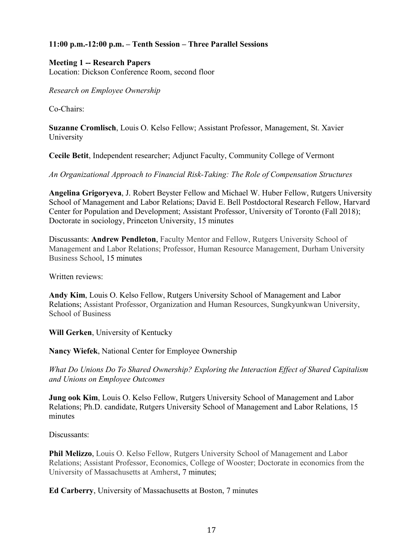# **11:00 p.m.-12:00 p.m. – Tenth Session – Three Parallel Sessions**

### **Meeting 1 -- Research Papers**

Location: Dickson Conference Room, second floor

*Research on Employee Ownership*

Co-Chairs:

**Suzanne Cromlisch**, Louis O. Kelso Fellow; Assistant Professor, Management, St. Xavier University

**Cecile Betit**, Independent researcher; Adjunct Faculty, Community College of Vermont

*An Organizational Approach to Financial Risk-Taking: The Role of Compensation Structures*

**Angelina Grigoryeva**, J. Robert Beyster Fellow and Michael W. Huber Fellow, Rutgers University School of Management and Labor Relations; David E. Bell Postdoctoral Research Fellow, Harvard Center for Population and Development; Assistant Professor, University of Toronto (Fall 2018); Doctorate in sociology, Princeton University, 15 minutes

Discussants: **Andrew Pendleton**, Faculty Mentor and Fellow, Rutgers University School of Management and Labor Relations; Professor, Human Resource Management, Durham University Business School, 15 minutes

Written reviews:

**Andy Kim**, Louis O. Kelso Fellow, Rutgers University School of Management and Labor Relations; Assistant Professor, Organization and Human Resources, Sungkyunkwan University, School of Business

**Will Gerken**, University of Kentucky

**Nancy Wiefek**, National Center for Employee Ownership

*What Do Unions Do To Shared Ownership? Exploring the Interaction Effect of Shared Capitalism and Unions on Employee Outcomes*

**Jung ook Kim**, Louis O. Kelso Fellow, Rutgers University School of Management and Labor Relations; Ph.D. candidate, Rutgers University School of Management and Labor Relations, 15 minutes

Discussants:

**Phil Melizzo**, Louis O. Kelso Fellow, Rutgers University School of Management and Labor Relations; Assistant Professor, Economics, College of Wooster; Doctorate in economics from the University of Massachusetts at Amherst, 7 minutes;

**Ed Carberry**, University of Massachusetts at Boston, 7 minutes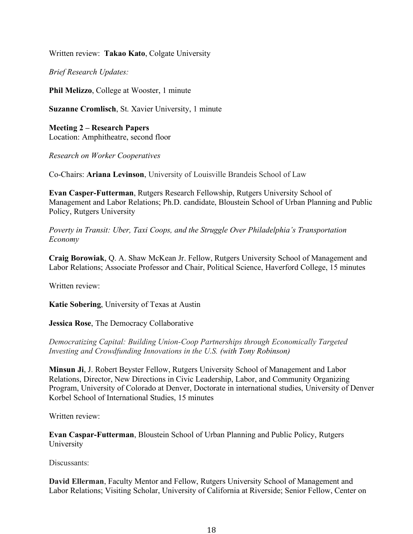Written review: **Takao Kato**, Colgate University

*Brief Research Updates:*

**Phil Melizzo, College at Wooster, 1 minute** 

**Suzanne Cromlisch**, St. Xavier University, 1 minute

**Meeting 2 – Research Papers** Location: Amphitheatre, second floor

*Research on Worker Cooperatives*

Co-Chairs: **Ariana Levinson**, University of Louisville Brandeis School of Law

**Evan Casper-Futterman**, Rutgers Research Fellowship, Rutgers University School of Management and Labor Relations; Ph.D. candidate, Bloustein School of Urban Planning and Public Policy, Rutgers University

*Poverty in Transit: Uber, Taxi Coops, and the Struggle Over Philadelphia's Transportation Economy*

**Craig Borowiak**, Q. A. Shaw McKean Jr. Fellow, Rutgers University School of Management and Labor Relations; Associate Professor and Chair, Political Science, Haverford College, 15 minutes

Written review:

**Katie Sobering**, University of Texas at Austin

**Jessica Rose**, The Democracy Collaborative

*Democratizing Capital: Building Union-Coop Partnerships through Economically Targeted Investing and Crowdfunding Innovations in the U.S. (with Tony Robinson)*

**Minsun Ji**, J. Robert Beyster Fellow, Rutgers University School of Management and Labor Relations, Director, New Directions in Civic Leadership, Labor, and Community Organizing Program, University of Colorado at Denver, Doctorate in international studies, University of Denver Korbel School of International Studies, 15 minutes

Written review:

**Evan Caspar-Futterman**, Bloustein School of Urban Planning and Public Policy, Rutgers University

Discussants:

**David Ellerman**, Faculty Mentor and Fellow, Rutgers University School of Management and Labor Relations; Visiting Scholar, University of California at Riverside; Senior Fellow, Center on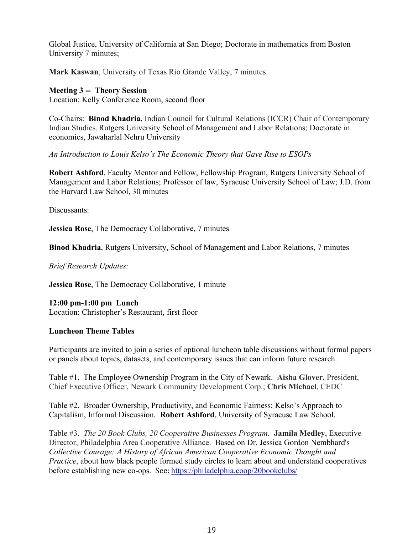Global Justice, University of California at San Diego; Doctorate in mathematics from Boston University 7 minutes;

**Mark Kaswan**, University of Texas Rio Grande Valley, 7 minutes

# **Meeting 3 -- Theory Session**

Location: Kelly Conference Room, second floor

Co-Chairs: **Binod Khadria**, Indian Council for Cultural Relations (ICCR) Chair of Contemporary Indian Studies, Rutgers University School of Management and Labor Relations; Doctorate in economics, Jawaharlal Nehru University

*An Introduction to Louis Kelso's The Economic Theory that Gave Rise to ESOPs*

**Robert Ashford**, Faculty Mentor and Fellow, Fellowship Program, Rutgers University School of Management and Labor Relations; Professor of law, Syracuse University School of Law; J.D. from the Harvard Law School, 30 minutes

Discussants:

**Jessica Rose**, The Democracy Collaborative, 7 minutes

**Binod Khadria**, Rutgers University, School of Management and Labor Relations, 7 minutes

*Brief Research Updates:*

**Jessica Rose**, The Democracy Collaborative, 1 minute

**12:00 pm-1:00 pm Lunch**  Location: Christopher's Restaurant, first floor

# **Luncheon Theme Tables**

Participants are invited to join a series of optional luncheon table discussions without formal papers or panels about topics, datasets, and contemporary issues that can inform future research.

Table #1. The Employee Ownership Program in the City of Newark. **Aisha Glover,** President, Chief Executive Officer, Newark Community Development Corp.; **Chris Michael**, CEDC

Table #2. Broader Ownership, Productivity, and Economic Fairness: Kelso's Approach to Capitalism, Informal Discussion. **Robert Ashford**, University of Syracuse Law School.

Table #3.*The 20 Book Clubs, 20 Cooperative Businesses Program*. **Jamila Medley**, Executive Director, Philadelphia Area Cooperative Alliance. Based on Dr. Jessica Gordon Nembhard's *Collective Courage: A History of African American Cooperative Economic Thought and Practice*, about how black people formed study circles to learn about and understand cooperatives before establishing new co-ops. See: https://philadelphia.coop/20bookclubs/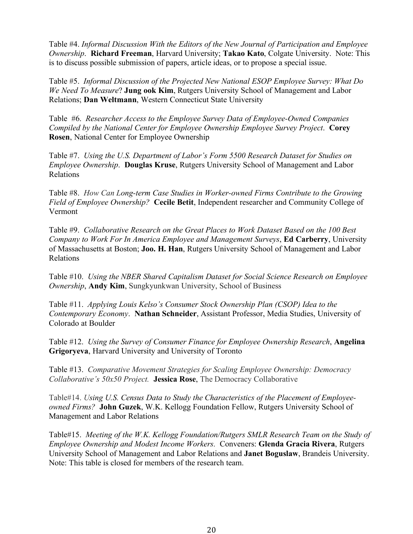Table #4. *Informal Discussion With the Editors of the New Journal of Participation and Employee Ownership*. **Richard Freeman**, Harvard University; **Takao Kato**, Colgate University. Note: This is to discuss possible submission of papers, article ideas, or to propose a special issue.

Table #5. *Informal Discussion of the Projected New National ESOP Employee Survey: What Do We Need To Measure*? **Jung ook Kim**, Rutgers University School of Management and Labor Relations; **Dan Weltmann**, Western Connecticut State University

Table #6. *Researcher Access to the Employee Survey Data of Employee-Owned Companies Compiled by the National Center for Employee Ownership Employee Survey Project*. **Corey Rosen**, National Center for Employee Ownership

Table #7. *Using the U.S. Department of Labor's Form 5500 Research Dataset for Studies on Employee Ownership*. **Douglas Kruse**, Rutgers University School of Management and Labor Relations

Table #8. *How Can Long-term Case Studies in Worker-owned Firms Contribute to the Growing Field of Employee Ownership?* **Cecile Betit**, Independent researcher and Community College of Vermont

Table #9. *Collaborative Research on the Great Places to Work Dataset Based on the 100 Best Company to Work For In America Employee and Management Surveys*, **Ed Carberry**, University of Massachusetts at Boston; **Joo. H. Han**, Rutgers University School of Management and Labor Relations

Table #10. *Using the NBER Shared Capitalism Dataset for Social Science Research on Employee Ownership*, **Andy Kim**, Sungkyunkwan University, School of Business

Table #11. *Applying Louis Kelso's Consumer Stock Ownership Plan (CSOP) Idea to the Contemporary Economy*. **Nathan Schneider**, Assistant Professor, Media Studies, University of Colorado at Boulder

Table #12. *Using the Survey of Consumer Finance for Employee Ownership Research*, **Angelina Grigoryeva**, Harvard University and University of Toronto

Table #13. *Comparative Movement Strategies for Scaling Employee Ownership: Democracy Collaborative's 50x50 Project.* **Jessica Rose**, The Democracy Collaborative

Table#14. *Using U.S. Census Data to Study the Characteristics of the Placement of Employeeowned Firms?* **John Guzek**, W.K. Kellogg Foundation Fellow, Rutgers University School of Management and Labor Relations

Table#15. *Meeting of the W.K. Kellogg Foundation/Rutgers SMLR Research Team on the Study of Employee Ownership and Modest Income Workers.* Conveners: **Glenda Gracia Rivera**, Rutgers University School of Management and Labor Relations and **Janet Boguslaw**, Brandeis University. Note: This table is closed for members of the research team.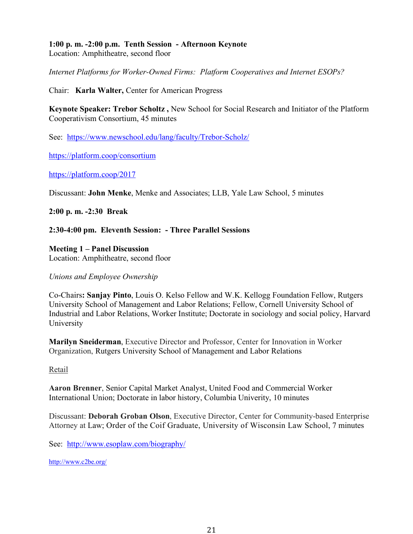**1:00 p. m. -2:00 p.m. Tenth Session - Afternoon Keynote** Location: Amphitheatre, second floor

*Internet Platforms for Worker-Owned Firms: Platform Cooperatives and Internet ESOPs?*

Chair: **Karla Walter,** Center for American Progress

**Keynote Speaker: Trebor Scholtz ,** New School for Social Research and Initiator of the Platform Cooperativism Consortium, 45 minutes

See: https://www.newschool.edu/lang/faculty/Trebor-Scholz/

https://platform.coop/consortium

https://platform.coop/2017

Discussant: **John Menke**, Menke and Associates; LLB, Yale Law School, 5 minutes

**2:00 p. m. -2:30 Break**

**2:30-4:00 pm. Eleventh Session: - Three Parallel Sessions**

**Meeting 1 – Panel Discussion** Location: Amphitheatre, second floor

*Unions and Employee Ownership* 

Co-Chairs**: Sanjay Pinto**, Louis O. Kelso Fellow and W.K. Kellogg Foundation Fellow, Rutgers University School of Management and Labor Relations; Fellow, Cornell University School of Industrial and Labor Relations, Worker Institute; Doctorate in sociology and social policy, Harvard University

**Marilyn Sneiderman**, Executive Director and Professor, Center for Innovation in Worker Organization, Rutgers University School of Management and Labor Relations

#### Retail

**Aaron Brenner**, Senior Capital Market Analyst, United Food and Commercial Worker International Union; Doctorate in labor history, Columbia Univerity, 10 minutes

Discussant: **Deborah Groban Olson**, Executive Director, Center for Community-based Enterprise Attorney at Law; Order of the Coif Graduate, University of Wisconsin Law School, 7 minutes

See: http://www.esoplaw.com/biography/

http://www.c2be.org/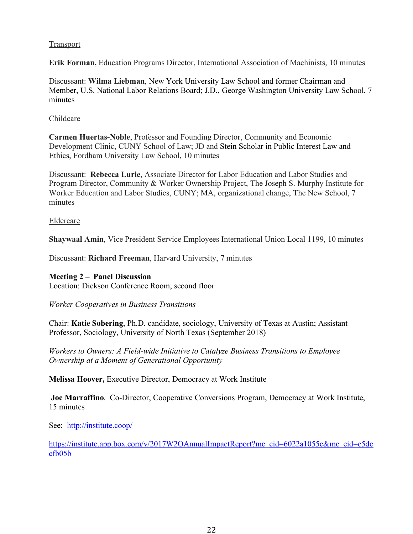### **Transport**

**Erik Forman,** Education Programs Director, International Association of Machinists, 10 minutes

Discussant: **Wilma Liebman**, New York University Law School and former Chairman and Member, U.S. National Labor Relations Board; J.D., George Washington University Law School, 7 minutes

#### Childcare

**Carmen Huertas-Noble**, Professor and Founding Director, Community and Economic Development Clinic, CUNY School of Law; JD and Stein Scholar in Public Interest Law and Ethics, Fordham University Law School, 10 minutes

Discussant: **Rebecca Lurie**, Associate Director for Labor Education and Labor Studies and Program Director, Community & Worker Ownership Project, The Joseph S. Murphy Institute for Worker Education and Labor Studies, CUNY; MA, organizational change, The New School, 7 minutes

#### Eldercare

**Shaywaal Amin**, Vice President Service Employees International Union Local 1199, 10 minutes

Discussant: **Richard Freeman**, Harvard University, 7 minutes

#### **Meeting 2 – Panel Discussion**

Location: Dickson Conference Room, second floor

*Worker Cooperatives in Business Transitions*

Chair: **Katie Sobering**, Ph.D. candidate, sociology, University of Texas at Austin; Assistant Professor, Sociology, University of North Texas (September 2018)

*Workers to Owners: A Field-wide Initiative to Catalyze Business Transitions to Employee Ownership at a Moment of Generational Opportunity*

**Melissa Hoover,** Executive Director, Democracy at Work Institute

**Joe Marraffino**. Co-Director, Cooperative Conversions Program, Democracy at Work Institute, 15 minutes

See: http://institute.coop/

https://institute.app.box.com/v/2017W2OAnnualImpactReport?mc\_cid=6022a1055c&mc\_eid=e5de cfb05b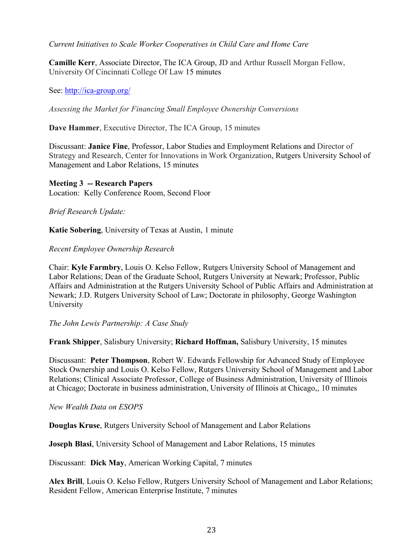### *Current Initiatives to Scale Worker Cooperatives in Child Care and Home Care*

**Camille Kerr**, Associate Director, The ICA Group, JD and Arthur Russell Morgan Fellow, University Of Cincinnati College Of Law 15 minutes

See: http://ica-group.org/

*Assessing the Market for Financing Small Employee Ownership Conversions*

**Dave Hammer**, Executive Director, The ICA Group, 15 minutes

Discussant: **Janice Fine**, Professor, Labor Studies and Employment Relations and Director of Strategy and Research, Center for Innovations in Work Organization, Rutgers University School of Management and Labor Relations, 15 minutes

**Meeting 3 -- Research Papers** Location: Kelly Conference Room, Second Floor

*Brief Research Update:*

**Katie Sobering**, University of Texas at Austin, 1 minute

#### *Recent Employee Ownership Research*

Chair: **Kyle Farmbry**, Louis O. Kelso Fellow, Rutgers University School of Management and Labor Relations; Dean of the Graduate School, Rutgers University at Newark; Professor, Public Affairs and Administration at the Rutgers University School of Public Affairs and Administration at Newark; J.D. Rutgers University School of Law; Doctorate in philosophy, George Washington University

*The John Lewis Partnership: A Case Study*

**Frank Shipper**, Salisbury University; **Richard Hoffman,** Salisbury University, 15 minutes

Discussant: **Peter Thompson**, Robert W. Edwards Fellowship for Advanced Study of Employee Stock Ownership and Louis O. Kelso Fellow, Rutgers University School of Management and Labor Relations; Clinical Associate Professor, College of Business Administration, University of Illinois at Chicago; Doctorate in business administration, University of Illinois at Chicago,, 10 minutes

*New Wealth Data on ESOPS*

**Douglas Kruse**, Rutgers University School of Management and Labor Relations

**Joseph Blasi**, University School of Management and Labor Relations, 15 minutes

Discussant: **Dick May**, American Working Capital, 7 minutes

**Alex Brill**, Louis O. Kelso Fellow, Rutgers University School of Management and Labor Relations; Resident Fellow, American Enterprise Institute, 7 minutes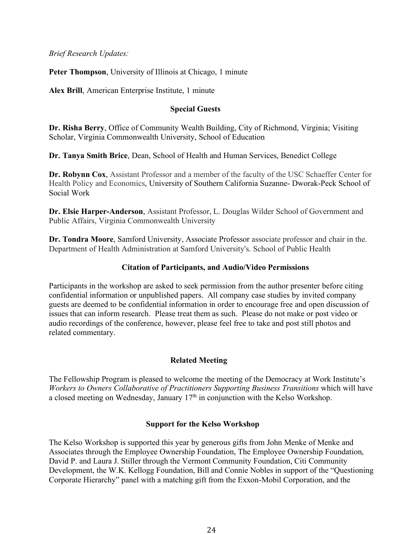*Brief Research Updates:*

**Peter Thompson**, University of Illinois at Chicago, 1 minute

**Alex Brill**, American Enterprise Institute, 1 minute

# **Special Guests**

**Dr. Risha Berry**, Office of Community Wealth Building, City of Richmond, Virginia; Visiting Scholar, Virginia Commonwealth University, School of Education

**Dr. Tanya Smith Brice**, Dean, School of Health and Human Services, Benedict College

**Dr. Robynn Cox**, Assistant Professor and a member of the faculty of the USC Schaeffer Center for Health Policy and Economics, University of Southern California Suzanne- Dworak-Peck School of Social Work

**Dr. Elsie Harper-Anderson**, Assistant Professor, L. Douglas Wilder School of Government and Public Affairs, Virginia Commonwealth University

**Dr. Tondra Moore**, Samford University, Associate Professor associate professor and chair in the. Department of Health Administration at Samford University's. School of Public Health

# **Citation of Participants, and Audio/Video Permissions**

Participants in the workshop are asked to seek permission from the author presenter before citing confidential information or unpublished papers. All company case studies by invited company guests are deemed to be confidential information in order to encourage free and open discussion of issues that can inform research. Please treat them as such. Please do not make or post video or audio recordings of the conference, however, please feel free to take and post still photos and related commentary.

# **Related Meeting**

The Fellowship Program is pleased to welcome the meeting of the Democracy at Work Institute's *Workers to Owners Collaborative of Practitioners Supporting Business Transitions* which will have a closed meeting on Wednesday, January  $17<sup>th</sup>$  in conjunction with the Kelso Workshop.

# **Support for the Kelso Workshop**

The Kelso Workshop is supported this year by generous gifts from John Menke of Menke and Associates through the Employee Ownership Foundation, The Employee Ownership Foundation, David P. and Laura J. Stiller through the Vermont Community Foundation, Citi Community Development, the W.K. Kellogg Foundation, Bill and Connie Nobles in support of the "Questioning Corporate Hierarchy" panel with a matching gift from the Exxon-Mobil Corporation, and the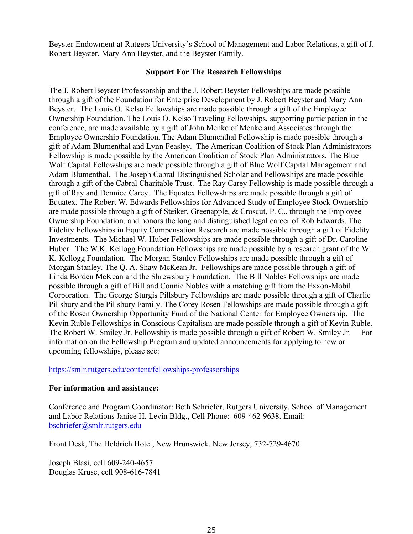Beyster Endowment at Rutgers University's School of Management and Labor Relations, a gift of J. Robert Beyster, Mary Ann Beyster, and the Beyster Family.

### **Support For The Research Fellowships**

The J. Robert Beyster Professorship and the J. Robert Beyster Fellowships are made possible through a gift of the Foundation for Enterprise Development by J. Robert Beyster and Mary Ann Beyster. The Louis O. Kelso Fellowships are made possible through a gift of the Employee Ownership Foundation. The Louis O. Kelso Traveling Fellowships, supporting participation in the conference, are made available by a gift of John Menke of Menke and Associates through the Employee Ownership Foundation. The Adam Blumenthal Fellowship is made possible through a gift of Adam Blumenthal and Lynn Feasley. The American Coalition of Stock Plan Administrators Fellowship is made possible by the American Coalition of Stock Plan Administrators. The Blue Wolf Capital Fellowships are made possible through a gift of Blue Wolf Capital Management and Adam Blumenthal. The Joseph Cabral Distinguished Scholar and Fellowships are made possible through a gift of the Cabral Charitable Trust. The Ray Carey Fellowship is made possible through a gift of Ray and Dennice Carey. The Equatex Fellowships are made possible through a gift of Equatex. The Robert W. Edwards Fellowships for Advanced Study of Employee Stock Ownership are made possible through a gift of Steiker, Greenapple, & Croscut, P. C., through the Employee Ownership Foundation, and honors the long and distinguished legal career of Rob Edwards. The Fidelity Fellowships in Equity Compensation Research are made possible through a gift of Fidelity Investments. The Michael W. Huber Fellowships are made possible through a gift of Dr. Caroline Huber. The W.K. Kellogg Foundation Fellowships are made possible by a research grant of the W. K. Kellogg Foundation. The Morgan Stanley Fellowships are made possible through a gift of Morgan Stanley. The Q. A. Shaw McKean Jr. Fellowships are made possible through a gift of Linda Borden McKean and the Shrewsbury Foundation. The Bill Nobles Fellowships are made possible through a gift of Bill and Connie Nobles with a matching gift from the Exxon-Mobil Corporation. The George Sturgis Pillsbury Fellowships are made possible through a gift of Charlie Pillsbury and the Pillsbury Family. The Corey Rosen Fellowships are made possible through a gift of the Rosen Ownership Opportunity Fund of the National Center for Employee Ownership. The Kevin Ruble Fellowships in Conscious Capitalism are made possible through a gift of Kevin Ruble. The Robert W. Smiley Jr. Fellowship is made possible through a gift of Robert W. Smiley Jr. For information on the Fellowship Program and updated announcements for applying to new or upcoming fellowships, please see:

# https://smlr.rutgers.edu/content/fellowships-professorships

#### **For information and assistance:**

Conference and Program Coordinator: Beth Schriefer, Rutgers University, School of Management and Labor Relations Janice H. Levin Bldg., Cell Phone: 609-462-9638. Email: bschriefer@smlr.rutgers.edu

Front Desk, The Heldrich Hotel, New Brunswick, New Jersey, 732-729-4670

Joseph Blasi, cell 609-240-4657 Douglas Kruse, cell 908-616-7841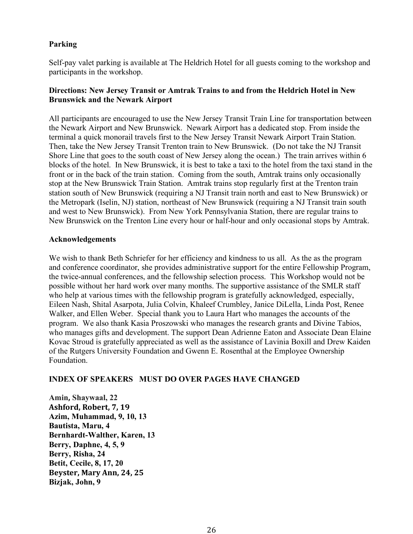# **Parking**

Self-pay valet parking is available at The Heldrich Hotel for all guests coming to the workshop and participants in the workshop.

# **Directions: New Jersey Transit or Amtrak Trains to and from the Heldrich Hotel in New Brunswick and the Newark Airport**

All participants are encouraged to use the New Jersey Transit Train Line for transportation between the Newark Airport and New Brunswick. Newark Airport has a dedicated stop. From inside the terminal a quick monorail travels first to the New Jersey Transit Newark Airport Train Station. Then, take the New Jersey Transit Trenton train to New Brunswick. (Do not take the NJ Transit Shore Line that goes to the south coast of New Jersey along the ocean.) The train arrives within 6 blocks of the hotel. In New Brunswick, it is best to take a taxi to the hotel from the taxi stand in the front or in the back of the train station. Coming from the south, Amtrak trains only occasionally stop at the New Brunswick Train Station. Amtrak trains stop regularly first at the Trenton train station south of New Brunswick (requiring a NJ Transit train north and east to New Brunswick) or the Metropark (Iselin, NJ) station, northeast of New Brunswick (requiring a NJ Transit train south and west to New Brunswick). From New York Pennsylvania Station, there are regular trains to New Brunswick on the Trenton Line every hour or half-hour and only occasional stops by Amtrak.

### **Acknowledgements**

We wish to thank Beth Schriefer for her efficiency and kindness to us all. As the as the program and conference coordinator, she provides administrative support for the entire Fellowship Program, the twice-annual conferences, and the fellowship selection process. This Workshop would not be possible without her hard work over many months. The supportive assistance of the SMLR staff who help at various times with the fellowship program is gratefully acknowledged, especially, Eileen Nash, Shital Asarpota, Julia Colvin, Khaleef Crumbley, Janice DiLella, Linda Post, Renee Walker, and Ellen Weber. Special thank you to Laura Hart who manages the accounts of the program. We also thank Kasia Proszowski who manages the research grants and Divine Tabios, who manages gifts and development. The support Dean Adrienne Eaton and Associate Dean Elaine Kovac Stroud is gratefully appreciated as well as the assistance of Lavinia Boxill and Drew Kaiden of the Rutgers University Foundation and Gwenn E. Rosenthal at the Employee Ownership Foundation.

# **INDEX OF SPEAKERS MUST DO OVER PAGES HAVE CHANGED**

**Amin, Shaywaal, 22 Ashford, Robert, 7, 19 Azim, Muhammad, 9, 10, 13 Bautista, Maru, 4 Bernhardt-Walther, Karen, 13 Berry, Daphne, 4, 5, 9 Berry, Risha, 24 Betit, Cecile, 8, 17, 20 Beyster, Mary Ann, 24, 25 Bizjak, John, 9**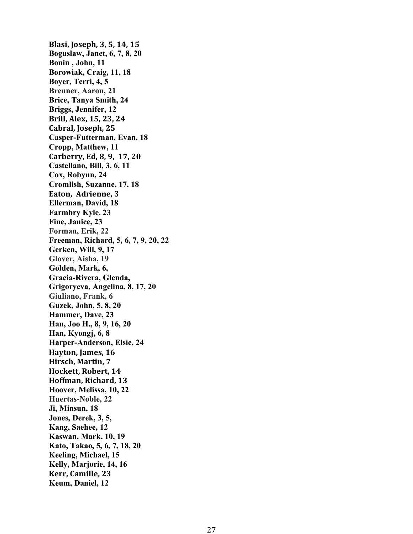**Blasi, Joseph, 3, 5, 14, 15 Boguslaw, Janet, 6, 7, 8, 20 Bonin , John, 11 Borowiak, Craig, 11, 18 Boyer, Terri, 4, 5 Brenner, Aaron, 21 Brice, Tanya Smith, 24 Briggs, Jennifer, 12 Brill, Alex, 15, 23, 24** Cabral, Joseph, 25 **Casper-Futterman, Evan, 18 Cropp, Matthew, 11 Carberry, Ed, 8, 9, 17, 20 Castellano, Bill, 3, 6, 11 Cox, Robynn, 24 Cromlish, Suzanne, 17, 18** Eaton, Adrienne, 3 **Ellerman, David, 18 Farmbry Kyle, 23 Fine, Janice, 23 Forman, Erik, 22 Freeman, Richard, 5, 6, 7, 9, 20, 22 Gerken, Will, 9, 17 Glover, Aisha, 19 Golden, Mark, 6, Gracia-Rivera, Glenda, Grigoryeva, Angelina, 8, 17, 20 Giuliano, Frank, 6 Guzek, John, 5, 8, 20 Hammer, Dave, 23 Han, Joo H., 8, 9, 16, 20 Han, Kyongj, 6, 8 Harper-Anderson, Elsie, 24 Hayton, James, 16 Hirsch, Martin, 7** Hockett, Robert, 14 **Hoffman, Richard, 13 Hoover, Melissa, 10, 22 Huertas-Noble, 22 Ji, Minsun, 18 Jones, Derek, 3, 5, Kang, Saehee, 12 Kaswan, Mark, 10, 19 Kato, Takao, 5, 6, 7, 18, 20 Keeling, Michael, 15 Kelly, Marjorie, 14, 16 Kerr, Camille, 23 Keum, Daniel, 12**